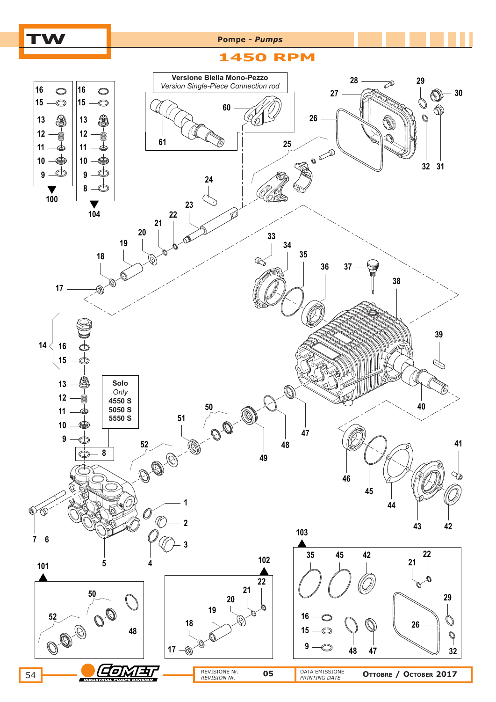

# **TW Pompe** *- Pumps*

### **1450 RPM**

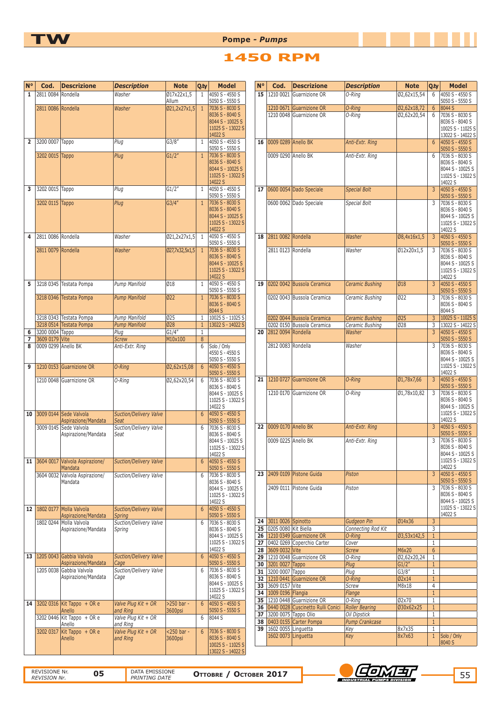

**TW Pompe** *- Pumps* 

## **1450 RPM**

| $N^{\circ}$    | Cod.                | <b>Descrizione</b>                                 | <b>Description</b>                    | <b>Note</b>                | Q.ty              | <b>Model</b>                           | $N^{\circ}$ | Cod.                                             | <b>Descrizione</b>                                              | <b>Description</b>                        | <b>Note</b>          | Q.ty                            | <b>Model</b>                           |
|----------------|---------------------|----------------------------------------------------|---------------------------------------|----------------------------|-------------------|----------------------------------------|-------------|--------------------------------------------------|-----------------------------------------------------------------|-------------------------------------------|----------------------|---------------------------------|----------------------------------------|
| $\mathbf{1}$   | 2811 0084 Rondella  |                                                    | Washer                                | Ø17x22x1,5                 | 1                 | 4050 S - 4550 S                        |             |                                                  | 15   1210 0021 Guarnizione OR                                   | O-Ring                                    | Ø2,62x15,54          | 6                               | 4050 S - 4550 S                        |
|                | 2811 0086 Rondella  |                                                    | Washer                                | Allum<br>021,2x27x1,5      | $\mathbf{1}$      | 5050 S - 5550 S<br>7036 S - 8030 S     |             |                                                  | 1210 0671 Guarnizione OR                                        | $O-Ring$                                  | Ø2,62x18,72          | 6                               | 5050 S - 5550 S<br>8044 S              |
|                |                     |                                                    |                                       |                            |                   | 8036 S - 8040 S                        |             |                                                  | 1210 0048 Guarnizione OR                                        | O-Ring                                    | Ø2,62x20,54          | 6                               | 7036 S - 8030 S                        |
|                |                     |                                                    |                                       |                            |                   | 8044 S - 10025 S                       |             |                                                  |                                                                 |                                           |                      |                                 | 8036 S - 8040 S                        |
|                |                     |                                                    |                                       |                            |                   | 11025 S - 13022 S<br>14022 S           |             |                                                  |                                                                 |                                           |                      |                                 | 10025 S - 11025 S<br>13022 S - 14022 S |
| $\overline{2}$ | 3200 0007 Tappo     |                                                    | Plug                                  | G3/8''                     | $\mathbf{1}$      | 4050 S - 4550 S                        |             | 16 0009 0289 Anello BK                           |                                                                 | Anti-Extr. Ring                           |                      | 6                               | 4050 S - 4550 S                        |
|                | 3202 0015 Tappo     |                                                    |                                       | GI/2"                      |                   | 5050 S - 5550 S<br>7036 S - 8030 S     |             |                                                  |                                                                 |                                           |                      |                                 | 5050 S - 5550 S                        |
|                |                     |                                                    | Plug                                  |                            | $\mathbf{1}$      | 8036 S - 8040 S                        |             | 0009 0290 Anello BK                              |                                                                 | Anti-Extr. Ring                           |                      | 6                               | 7036 S - 8030 S<br>8036 S - 8040 S     |
|                |                     |                                                    |                                       |                            |                   | 8044 S - 10025 S                       |             |                                                  |                                                                 |                                           |                      |                                 | 8044 S - 10025 S                       |
|                |                     |                                                    |                                       |                            |                   | 11025 S - 13022 S<br>14022 S           |             |                                                  |                                                                 |                                           |                      |                                 | 11025 S - 13022 S<br>14022 S           |
| 3              | 3202 0015 Tappo     |                                                    | Plug                                  | GI/2"                      | 1                 | 4050 S - 4550 S                        |             |                                                  | 17 0600 0054 Dado Speciale                                      | <b>Special Bolt</b>                       |                      | $\overline{3}$                  | 4050 S - 4550 S                        |
|                |                     |                                                    |                                       |                            |                   | 5050 S - 5550 S<br>7036 S - 8030 S     |             |                                                  |                                                                 |                                           |                      |                                 | $5050 S - 5550 S$                      |
|                | 3202 0115 Tappo     |                                                    | Plug                                  | G3/4"                      | $\mathbf{1}$      | 8036 S - 8040 S                        |             |                                                  | 0600 0062 Dado Speciale                                         | Special Bolt                              |                      | 3                               | 7036 S - 8030 S<br>8036 S - 8040 S     |
|                |                     |                                                    |                                       |                            |                   | 8044 S - 10025 S                       |             |                                                  |                                                                 |                                           |                      |                                 | 8044 S - 10025 S                       |
|                |                     |                                                    |                                       |                            |                   | 11025 S - 13022 S<br>14022 S           |             |                                                  |                                                                 |                                           |                      |                                 | 11025 S - 13022 S<br>14022 S           |
| 4              | 2811 0086 Rondella  |                                                    | Washer                                | 021,2x27x1,5 1             |                   | 4050 S - 4550 S                        |             | 18 2811 0082 Rondella                            |                                                                 | Washer                                    | Ø8,4x16x1,5          | $\overline{3}$                  | 4050 S - 4550 S                        |
|                | 2811 0079 Rondella  |                                                    | Washer                                | Q27,7x32,5x1,5             | $\overline{1}$    | 5050 S - 5550 S<br>7036 S - 8030 S     |             |                                                  |                                                                 | Washer                                    |                      |                                 | $5050 S - 5550 S$                      |
|                |                     |                                                    |                                       |                            |                   | 8036 S - 8040 S                        |             | 2811 0123 Rondella                               |                                                                 |                                           | Ø12x20x1,5           | 3                               | 7036 S - 8030 S<br>8036 S - 8040 S     |
|                |                     |                                                    |                                       |                            |                   | 8044 S - 10025 S                       |             |                                                  |                                                                 |                                           |                      |                                 | 8044 S - 10025 S                       |
|                |                     |                                                    |                                       |                            |                   | 11025 S - 13022 S<br>14022 S           |             |                                                  |                                                                 |                                           |                      |                                 | 11025 S - 13022 S<br>14022 S           |
| 5              |                     | 3218 0345 Testata Pompa                            | Pump Manifold                         | 018                        | 1                 | 4050 S - 4550 S                        |             |                                                  | 19 0202 0042 Bussola Ceramica                                   | <b>Ceramic Bushing</b>                    | Ø18                  | $\overline{3}$                  | 4050 S - 4550 S                        |
|                |                     | 3218 0346 Testata Pompa                            | Pump Manifold                         | $\sqrt{022}$               | $\mathbf{1}$      | 5050 S - 5550 S<br>7036 S - 8030 S     |             |                                                  | 0202 0043 Bussola Ceramica                                      |                                           | 022                  | 3                               | 5050 S - 5550 S<br>7036 S - 8030 S     |
|                |                     |                                                    |                                       |                            |                   | 8036 S - 8040 S                        |             |                                                  |                                                                 | Ceramic Bushing                           |                      |                                 | 8036 S - 8040 S                        |
|                |                     |                                                    |                                       |                            |                   | 8044 S                                 |             |                                                  |                                                                 |                                           |                      |                                 | 8044 S                                 |
|                |                     | 3218 0343 Testata Pompa<br>3218 0514 Testata Pompa | Pump Manifold<br><b>Pump Manifold</b> | Ø25<br>$\overline{\omega}$ | 1<br>$\mathbf{1}$ | 10025 S - 11025 S<br>13022 S - 14022 S |             |                                                  | 0202 0044 Bussola Ceramica<br>0202 0150 Bussola Ceramica        | <b>Ceramic Bushing</b><br>Ceramic Bushing | Ø25<br>Ø28           | $\overline{3}$<br>3             | 10025 S - 11025 S<br>13022 S - 14022 S |
| 6              | 3200 0004 Tappo     |                                                    | Plug                                  | G1/4''                     | $\mathbf{1}$      |                                        |             | 20 2812 0094 Rondella                            |                                                                 | Washer                                    |                      | 3                               | 4050 S - 4550 S                        |
|                | 3609 0179 Vite      |                                                    | <b>Screw</b>                          | M10x100                    | 8                 |                                        |             |                                                  |                                                                 |                                           |                      |                                 | 5050 S - 5550 S                        |
| 8              | 0009 0299 Anello BK |                                                    | Anti-Extr. Ring                       |                            | 6                 | Solo / Only<br>4550 S - 4550 S         |             | 2812 0083 Rondella                               |                                                                 | Washer                                    |                      | 3                               | 7036 S - 8030 S<br>8036 S - 8040 S     |
|                |                     |                                                    |                                       |                            |                   | 5050 S - 5550 S                        |             |                                                  |                                                                 |                                           |                      |                                 | 8044 S - 10025 S                       |
| 9              |                     | 1210 0153 Guarnizione OR                           | O-Ring                                | Ø2,62x15,08                | 6                 | 4050 S - 4550 S<br>5050 S - 5550 S     |             |                                                  |                                                                 |                                           |                      |                                 | 11025 S - 13022 S<br>14022 S           |
|                |                     | 1210 0048 Guarnizione OR                           | O-Ring                                | Ø2,62x20,54                | 6                 | 7036 S - 8030 S                        |             |                                                  | 21 1210 0727 Guarnizione OR                                     | $O$ -Ring                                 | Ø1,78x7,66           | $\overline{3}$                  | 4050 S - 4550 S                        |
|                |                     |                                                    |                                       |                            |                   | 8036 S - 8040 S<br>8044 S - 10025 S    |             |                                                  | 1210 0170 Guarnizione OR                                        | O-Ring                                    | Ø1,78x10,82          | 3                               | 5050 S - 5550 S<br>7036 S - 8030 S     |
|                |                     |                                                    |                                       |                            |                   | 11025 S - 13022 S                      |             |                                                  |                                                                 |                                           |                      |                                 | 8036 S - 8040 S                        |
| 10             |                     | 3009 0144 Sede Valvola                             | <b>Suction/Delivery Valve</b>         |                            | 6                 | 14022 S<br>4050 S - 4550 S             |             |                                                  |                                                                 |                                           |                      |                                 | 8044 S - 10025 S<br>11025 S - 13022 S  |
|                |                     | Aspirazione/Mandata                                | Seat                                  |                            |                   | 5050 S - 5550 S                        |             |                                                  |                                                                 |                                           |                      |                                 | 14022 S                                |
|                |                     | 3009 0145 Sede Valvola                             | Suction/Delivery Valve                |                            | 6                 | 7036 S - 8030 S                        |             | 22 0009 0170 Anello BK                           |                                                                 | Anti-Extr. Ring                           |                      | $\overline{3}$                  | 4050 S - 4550 S                        |
|                |                     | Aspirazione/Mandata                                | Seat                                  |                            |                   | 8036 S - 8040 S<br>8044 S - 10025 S    |             | 0009 0225 Anello BK                              |                                                                 | Anti-Extr. Ring                           |                      | 3                               | 5050 S - 5550 S<br>7036 S - 8030 S     |
|                |                     |                                                    |                                       |                            |                   | 11025 S - 13022 S                      |             |                                                  |                                                                 |                                           |                      |                                 | 8036 S - 8040 S                        |
| 11             |                     | 3604 0017 Valvola Aspirazione/                     | Suction/Delivery Valve                |                            | 6                 | 14022 S<br>4050 S - 4550 S             |             |                                                  |                                                                 |                                           |                      |                                 | 8044 S - 10025 S<br>11025 S - 13022 S  |
|                |                     | Mandata                                            |                                       |                            |                   | 5050 S - 5550 S                        |             |                                                  |                                                                 |                                           |                      |                                 | 14022 S                                |
|                |                     | 3604 0032 Valvola Aspirazione/                     | Suction/Delivery Valve                |                            | 6                 | 7036 S - 8030 S                        |             |                                                  | 23 2409 0109 Pistone Guida                                      | Piston                                    |                      | $\overline{3}$                  | 4050 S - 4550 S<br>5050 S - 5550 S     |
|                |                     | Mandata                                            |                                       |                            |                   | 8036 S - 8040 S<br>8044 S - 10025 S    |             |                                                  | 2409 0111 Pistone Guida                                         | Piston                                    |                      | 3                               | 7036 S - 8030 S                        |
|                |                     |                                                    |                                       |                            |                   | 11025 S - 13022 S                      |             |                                                  |                                                                 |                                           |                      |                                 | 8036 S - 8040 S                        |
|                |                     | 12 1802 0177 Molla Valvola                         | Suction/Delivery Valve                |                            | 6                 | 14022 S<br>4050 S - 4550 S             |             |                                                  |                                                                 |                                           |                      |                                 | 8044 S - 10025 S<br>11025 S - 13022 S  |
|                |                     | Aspirazione/Mandata                                | <b>Spring</b>                         |                            |                   | 5050 S - 5550 S                        |             |                                                  |                                                                 |                                           |                      |                                 | 14022 S                                |
|                |                     | 1802 0244 Molla Valvola                            | Suction/Delivery Valve                |                            | 6                 | 7036 S - 8030 S<br>8036 S - 8040 S     |             | 24 3011 0026 Spinotto<br>25 0205 0080 Kit Biella |                                                                 | Gudgeon Pin<br>Connecting Rod Kit         | Ø14x36               | 3<br>3                          |                                        |
|                |                     | Aspirazione/Mandata                                | Spring                                |                            |                   | 8044 S - 10025 S                       |             |                                                  | 26 1210 0349 Guarnizione OR                                     | O-Ring                                    | Ø3,53x142,5          | $\mathbf{1}$                    |                                        |
|                |                     |                                                    |                                       |                            |                   | 11025 S - 13022 S                      |             |                                                  | 27 0402 0269 Coperchio Carter                                   | Cover                                     |                      | $\mathbf{1}$                    |                                        |
|                |                     | 13 1205 0043 Gabbia Valvola                        | Suction/Delivery Valve                |                            | $6\overline{6}$   | 14022 S<br>4050 S - 4550 S             |             | 28 3609 0032 Vite                                | 29   1210 0048 Guarnizione OR                                   | Screw<br>O-Ring                           | M6x20<br>Ø2,62x20,24 | $6\phantom{.}6$<br>$\mathbf{1}$ |                                        |
|                |                     | Aspirazione/Mandata                                | Cage                                  |                            |                   | 5050 S - 5550 S                        |             | 30 3201 0027 Tappo                               |                                                                 | Plug                                      | G1/2"                | $\mathbf{1}$                    |                                        |
|                |                     | 1205 0038 Gabbia Valvola                           | Suction/Delivery Valve                |                            | 6                 | 7036 S - 8030 S                        |             | 31 3200 0007 Tappo                               |                                                                 | Plug                                      | G3/8''               | $\mathbf{1}$                    |                                        |
|                |                     | Aspirazione/Mandata                                | Cage                                  |                            |                   | 8036 S - 8040 S<br>8044 S - 10025 S    |             | 33 3609 0157 Vite                                | 32 1210 0441 Guarnizione OR                                     | $O-Ring$<br>Screw                         | Ø2x14<br>M8x18       | $\mathbf{1}$<br>$\overline{4}$  |                                        |
|                |                     |                                                    |                                       |                            |                   | 11025 S - 13022 S                      |             | 34 1009 0196 Flangia                             |                                                                 | Flange                                    |                      | $\mathbf{1}$                    |                                        |
|                |                     | 14 3202 0316 Kit Tappo + OR e                      | Valve Plug Kit + OR                   | >250 bar -                 | 6                 | 14022 S<br>4050 S - 4550 S             |             |                                                  | 35 1210 0448 Guarnizione OR                                     | O-Ring                                    | Ø2x70                | $\mathbf{1}$                    |                                        |
|                |                     | Anello                                             | and Ring                              | 3600psi                    |                   | 5050 S - 5550 S                        |             |                                                  | 36 0440 0028 Cuscinetto Rulli Conici<br>37 3200 0075 Tappo Olio | <b>Roller Bearing</b><br>Oil Dipstick     | Ø30x62x25            | $\mathbf{1}$<br>$\mathbf{1}$    |                                        |
|                |                     | 3202 0446 Kit Tappo + OR e<br>Anello               | Valve Plug Kit + OR<br>and Ring       |                            | 6                 | 8044 S                                 |             |                                                  | 38 0403 0155 Carter Pompa                                       | <b>Pump Crankcase</b>                     |                      | $\mathbf{1}$                    |                                        |
|                |                     | 3202 0317 Kit Tappo + OR e                         | Valve Plug Kit + OR                   | <250 bar -                 | 6                 | 7036 S - 8030 S                        |             | 39   1602 0055   Linguetta                       |                                                                 | Key                                       | 8x7x35               | $\mathbf{1}$                    |                                        |
|                |                     | Anello                                             | and Ring                              | 3600psi                    |                   | 8036 S - 8040 S                        |             | 1602 0073 Linguetta                              |                                                                 | Key                                       | 8x7x63               | $\mathbf{1}$                    | Solo / Only<br>8040 S                  |
|                |                     |                                                    |                                       |                            |                   | 10025 S - 11025 S<br>13022 S - 14022 S |             |                                                  |                                                                 |                                           |                      |                                 |                                        |
|                |                     |                                                    |                                       |                            |                   |                                        |             |                                                  |                                                                 |                                           |                      |                                 |                                        |

REVISIONE Nr.

*REVISIONE* DATA EMISSIONE

**Оттовке / Остовек 2017**